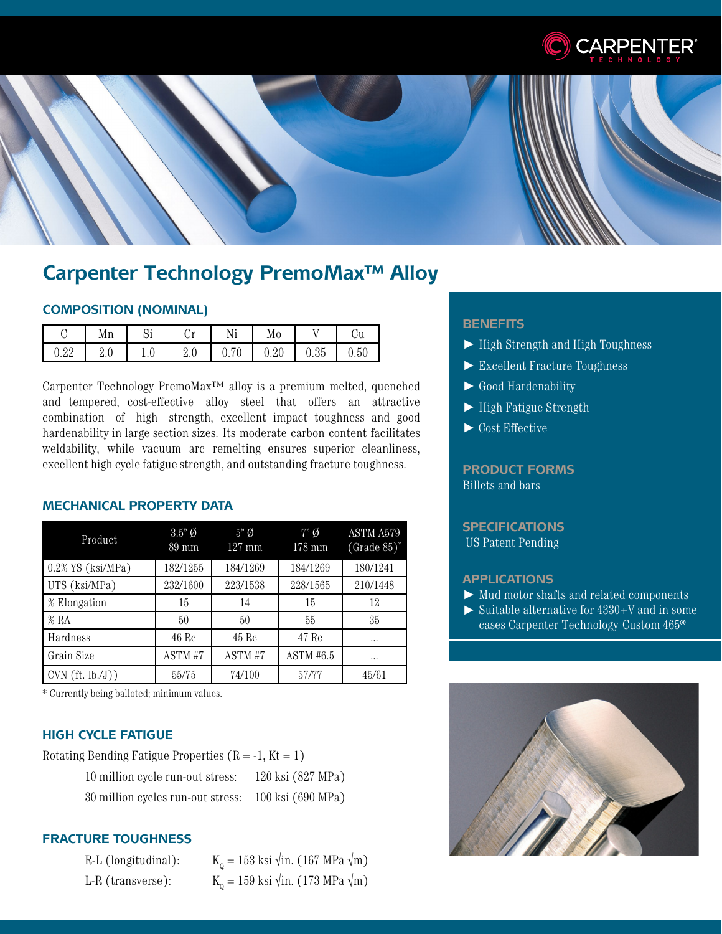



# **Carpenter Technology PremoMax™ Alloy**

# **COMPOSITION (NOMINAL)**

|            | Mn  | ັບ  | $\mathcal{L}_{\mathbf{m}}$<br>ັ້ | Ni                       | Mo   |      | ٠.,<br>υu |
|------------|-----|-----|----------------------------------|--------------------------|------|------|-----------|
| ററ<br>U.44 | 2.0 | 1.0 | $\omega$ .                       | $\blacksquare$<br>v. 1 v | 0.20 | 0.35 | 0.50      |

Carpenter Technology PremoMax™ alloy is a premium melted, quenched and tempered, cost-effective alloy steel that offers an attractive combination of high strength, excellent impact toughness and good hardenability in large section sizes. Its moderate carbon content facilitates weldability, while vacuum arc remelting ensures superior cleanliness, excellent high cycle fatigue strength, and outstanding fracture toughness.

# **MECHANICAL PROPERTY DATA**

| Product              | $3.5"$ Ø<br>$89 \text{ mm}$ | $5"$ Ø<br>$127$ mm | $7"\emptyset$<br>178 mm | ASTM A579<br>$(Grade 85)^*$ |
|----------------------|-----------------------------|--------------------|-------------------------|-----------------------------|
| $0.2\%$ YS (ksi/MPa) | 182/1255                    | 184/1269           | 184/1269                | 180/1241                    |
| UTS (ksi/MPa)        | 232/1600                    | 223/1538           | 228/1565                | 210/1448                    |
| % Elongation         | 15                          | 14                 | 15                      | 12                          |
| % RA                 | 50                          | 50                 | 55                      | 35                          |
| Hardness             | 46 Rc                       | 45 Rc              | 47 Rc                   | $\cdots$                    |
| Grain Size           | ASTM #7                     | ASTM #7            | ASTM #6.5               | $\cdots$                    |
| $CVN(ft.-lb./J))$    | 55/75                       | 74/100             | 57/77                   | 45/61                       |

\* Currently being balloted; minimum values.

#### **HIGH CYCLE FATIGUE**

Rotating Bending Fatigue Properties  $(R = -1, Kt = 1)$ 

| 10 million cycle run-out stress:  | 120 ksi (827 MPa) |
|-----------------------------------|-------------------|
| 30 million cycles run-out stress: | 100 ksi (690 MPa) |

# **FRACTURE TOUGHNESS**

| R-L (longitudinal): | $K_0 = 153$ ksi $\sqrt{\text{in. (167 MPa \sqrt{m})}}$ |
|---------------------|--------------------------------------------------------|
| L-R (transverse):   | $K_0 = 159$ ksi $\sqrt{\text{in. (173 MPa \sqrt{m})}}$ |

### **BENEFITS**

- ► High Strength and High Toughness
- ► Excellent Fracture Toughness
- ► Good Hardenability
- ► High Fatigue Strength
- ► Cost Effective

# **PRODUCT FORMS** Billets and bars

# **SPECIFICATIONS** US Patent Pending

#### **APPLICATIONS**

- ► Mud motor shafts and related components
- ► Suitable alternative for 4330+V and in some cases Carpenter Technology Custom 465**®**

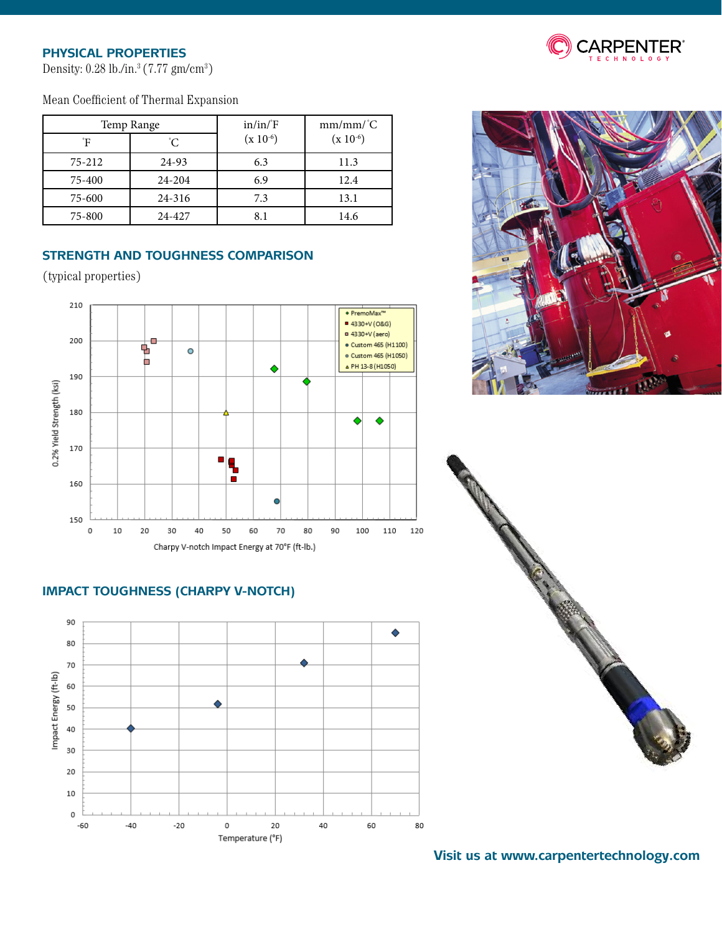# **PHYSICAL PROPERTIES**

Density:  $0.28$  lb./in. $3(7.77 \text{ gm/cm}^3)$ 

# Mean Coefficient of Thermal Expansion

|        | Temp Range | in/in/F       | $mm/mm/{}^{\circ}C$ |  |
|--------|------------|---------------|---------------------|--|
| °F     | C.         | $(x 10^{-6})$ | $(x 10^{-6})$       |  |
| 75-212 | 24-93      | 6.3           | 11.3                |  |
| 75-400 | 24-204     | 6.9           | 12.4                |  |
| 75-600 | 24-316     | 7.3           | 13.1                |  |
| 75-800 | 24-427     | 8.1           | 14.6                |  |

# **STRENGTH AND TOUGHNESS COMPARISON**

(typical properties)



# **IMPACT TOUGHNESS (CHARPY V-NOTCH)**